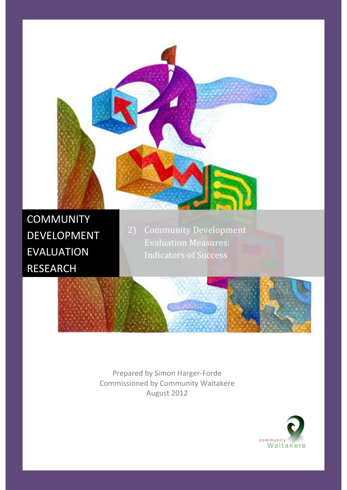

Prepared by Simon Harger-Forde Commissioned by Community Waitakere August 2012

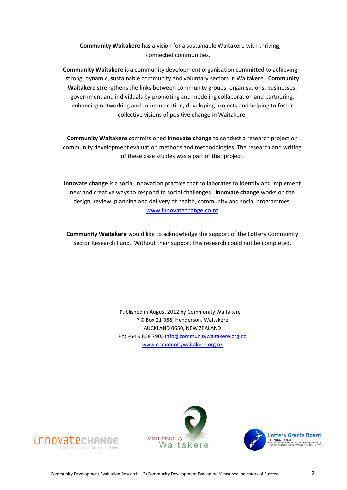**Community Waitakere** has a vision for a sustainable Waitakere with thriving, connected communities.

**Community Waitakere** is a community development organisation committed to achieving strong, dynamic, sustainable community and voluntary sectors in Waitakere. **Community Waitakere** strengthens the links between community groups, organisations, businesses, government and individuals by promoting and modeling collaboration and partnering, enhancing networking and communication, developing projects and helping to foster collective visions of positive change in Waitakere.

**Community Waitakere** commissioned **innovate change** to conduct a research project on community development evaluation methods and methodologies. The research and writing of these case studies was a part of that project.

**innovate change** is a social innovation practice that collaborates to identify and implement new and creative ways to respond to social challenges. **innovate change** works on the design, review, planning and delivery of health, community and social programmes. [www.innovatechange.co.nz](http://www.innovatechange.co.nz/)

**Community Waitakere** would like to acknowledge the support of the Lottery Community Sector Research Fund. Without their support this research could not be completed.

> Published in August 2012 by Community Waitakere P O Box 21-068, Henderson, Waitakere AUCKLAND 0650, NEW ZEALAND Ph: +64 9 838 790[3 info@communitywaitakere.org.nz](mailto:info@communitywaitakere.org.nz) [www.communitywaitakere.org.nz](http://www.communitywaitakere.org.nz/)





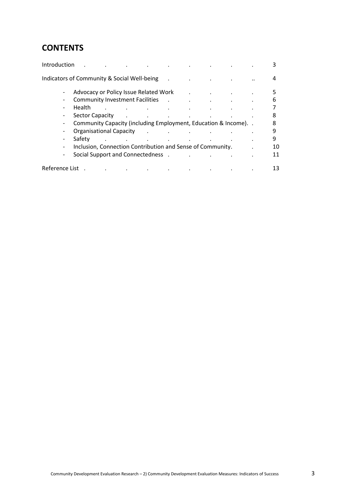## **CONTENTS**

| Introduction   |                                                                  |               |                                     |  |  |    |
|----------------|------------------------------------------------------------------|---------------|-------------------------------------|--|--|----|
|                | Indicators of Community & Social Well-being                      |               |                                     |  |  | 4  |
|                | Advocacy or Policy Issue Related Work                            |               |                                     |  |  | 5. |
|                | <b>Community Investment Facilities</b>                           |               |                                     |  |  | 6  |
|                | Health                                                           |               |                                     |  |  |    |
|                | <b>Sector Capacity</b>                                           | $\sim$        |                                     |  |  | 8  |
|                | Community Capacity (including Employment, Education & Income). . |               |                                     |  |  | 8  |
|                | Organisational Capacity                                          | $\sim$ $\sim$ | and the contract of the contract of |  |  | 9  |
|                | Safety                                                           |               |                                     |  |  | 9  |
|                | Inclusion, Connection Contribution and Sense of Community.       |               |                                     |  |  | 10 |
|                | Social Support and Connectedness.                                |               |                                     |  |  | 11 |
| Reference List |                                                                  |               |                                     |  |  | 13 |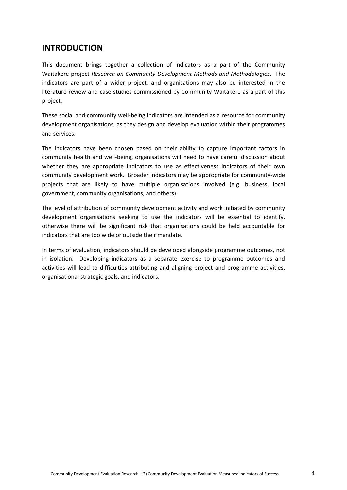## **INTRODUCTION**

This document brings together a collection of indicators as a part of the Community Waitakere project *Research on Community Development Methods and Methodologies*. The indicators are part of a wider project, and organisations may also be interested in the literature review and case studies commissioned by Community Waitakere as a part of this project.

These social and community well-being indicators are intended as a resource for community development organisations, as they design and develop evaluation within their programmes and services.

The indicators have been chosen based on their ability to capture important factors in community health and well-being, organisations will need to have careful discussion about whether they are appropriate indicators to use as effectiveness indicators of their own community development work. Broader indicators may be appropriate for community-wide projects that are likely to have multiple organisations involved (e.g. business, local government, community organisations, and others).

The level of attribution of community development activity and work initiated by community development organisations seeking to use the indicators will be essential to identify, otherwise there will be significant risk that organisations could be held accountable for indicators that are too wide or outside their mandate.

In terms of evaluation, indicators should be developed alongside programme outcomes, not in isolation. Developing indicators as a separate exercise to programme outcomes and activities will lead to difficulties attributing and aligning project and programme activities, organisational strategic goals, and indicators.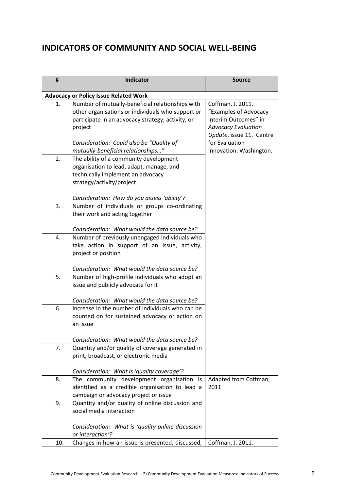## **INDICATORS OF COMMUNITY AND SOCIAL WELL-BEING**

| #   | <b>Indicator</b>                                                                                | Source                     |
|-----|-------------------------------------------------------------------------------------------------|----------------------------|
|     | <b>Advocacy or Policy Issue Related Work</b>                                                    |                            |
| 1.  | Number of mutually-beneficial relationships with                                                | Coffman, J. 2011.          |
|     | other organisations or individuals who support or                                               | "Examples of Advocacy      |
|     | participate in an advocacy strategy, activity, or                                               | Interim Outcomes" in       |
|     | project                                                                                         | <b>Advocacy Evaluation</b> |
|     |                                                                                                 | Update, issue 11. Centre   |
|     | Consideration: Could also be "Quality of                                                        | for Evaluation             |
| 2.  | mutually-beneficial relationships"<br>The ability of a community development                    | Innovation: Washington.    |
|     | organisation to lead, adapt, manage, and                                                        |                            |
|     | technically implement an advocacy                                                               |                            |
|     | strategy/activity/project                                                                       |                            |
|     |                                                                                                 |                            |
|     | Consideration: How do you assess 'ability'?                                                     |                            |
| 3.  | Number of individuals or groups co-ordinating                                                   |                            |
|     | their work and acting together                                                                  |                            |
|     |                                                                                                 |                            |
| 4.  | Consideration: What would the data source be?                                                   |                            |
|     | Number of previously unengaged individuals who<br>take action in support of an issue, activity, |                            |
|     | project or position                                                                             |                            |
|     |                                                                                                 |                            |
|     | Consideration: What would the data source be?                                                   |                            |
| 5.  | Number of high-profile individuals who adopt an                                                 |                            |
|     | issue and publicly advocate for it                                                              |                            |
|     | Consideration: What would the data source be?                                                   |                            |
| 6.  | Increase in the number of individuals who can be                                                |                            |
|     | counted on for sustained advocacy or action on                                                  |                            |
|     | an issue                                                                                        |                            |
|     |                                                                                                 |                            |
|     | Consideration: What would the data source be?                                                   |                            |
| 7.  | Quantity and/or quality of coverage generated in                                                |                            |
|     | print, broadcast, or electronic media                                                           |                            |
|     |                                                                                                 |                            |
| 8.  | Consideration: What is 'quality coverage'?<br>The community development organisation is         | Adapted from Coffman,      |
|     | identified as a credible organisation to lead a                                                 | 2011                       |
|     | campaign or advocacy project or issue                                                           |                            |
| 9.  | Quantity and/or quality of online discussion and                                                |                            |
|     | social media interaction                                                                        |                            |
|     |                                                                                                 |                            |
|     | Consideration: What is 'quality online discussion                                               |                            |
|     | or interaction'?                                                                                |                            |
| 10. | Changes in how an issue is presented, discussed,                                                | Coffman, J. 2011.          |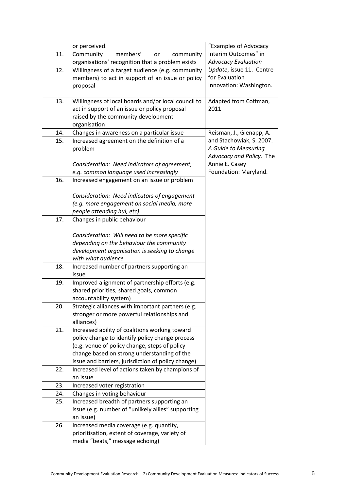|     | or perceived.                                                                             | "Examples of Advocacy      |
|-----|-------------------------------------------------------------------------------------------|----------------------------|
| 11. | members'<br>Community<br>community<br>or                                                  | Interim Outcomes" in       |
|     | organisations' recognition that a problem exists                                          | <b>Advocacy Evaluation</b> |
| 12. | Willingness of a target audience (e.g. community                                          | Update, issue 11. Centre   |
|     | members) to act in support of an issue or policy                                          | for Evaluation             |
|     | proposal                                                                                  | Innovation: Washington.    |
|     |                                                                                           |                            |
| 13. | Willingness of local boards and/or local council to                                       | Adapted from Coffman,      |
|     | act in support of an issue or policy proposal<br>raised by the community development      | 2011                       |
|     | organisation                                                                              |                            |
| 14. | Changes in awareness on a particular issue                                                | Reisman, J., Gienapp, A.   |
| 15. | Increased agreement on the definition of a                                                | and Stachowiak, S. 2007.   |
|     | problem                                                                                   | A Guide to Measuring       |
|     |                                                                                           | Advocacy and Policy. The   |
|     | Consideration: Need indicators of agreement,                                              | Annie E. Casey             |
|     | e.g. common language used increasingly                                                    | Foundation: Maryland.      |
| 16. | Increased engagement on an issue or problem                                               |                            |
|     |                                                                                           |                            |
|     | Consideration: Need indicators of engagement                                              |                            |
|     | (e.g. more engagement on social media, more                                               |                            |
|     | people attending hui, etc)                                                                |                            |
| 17. | Changes in public behaviour                                                               |                            |
|     |                                                                                           |                            |
|     | Consideration: Will need to be more specific                                              |                            |
|     | depending on the behaviour the community<br>development organisation is seeking to change |                            |
|     | with what audience                                                                        |                            |
| 18. | Increased number of partners supporting an                                                |                            |
|     | issue                                                                                     |                            |
| 19. | Improved alignment of partnership efforts (e.g.                                           |                            |
|     | shared priorities, shared goals, common                                                   |                            |
|     | accountability system)                                                                    |                            |
| 20. | Strategic alliances with important partners (e.g.                                         |                            |
|     | stronger or more powerful relationships and                                               |                            |
|     | alliances)                                                                                |                            |
| 21. | Increased ability of coalitions working toward                                            |                            |
|     | policy change to identify policy change process                                           |                            |
|     | (e.g. venue of policy change, steps of policy                                             |                            |
|     | change based on strong understanding of the                                               |                            |
|     | issue and barriers, jurisdiction of policy change)                                        |                            |
| 22. | Increased level of actions taken by champions of<br>an issue                              |                            |
| 23. | Increased voter registration                                                              |                            |
| 24. | Changes in voting behaviour                                                               |                            |
| 25. | Increased breadth of partners supporting an                                               |                            |
|     | issue (e.g. number of "unlikely allies" supporting                                        |                            |
|     | an issue)                                                                                 |                            |
| 26. | Increased media coverage (e.g. quantity,                                                  |                            |
|     | prioritisation, extent of coverage, variety of                                            |                            |
|     | media "beats," message echoing)                                                           |                            |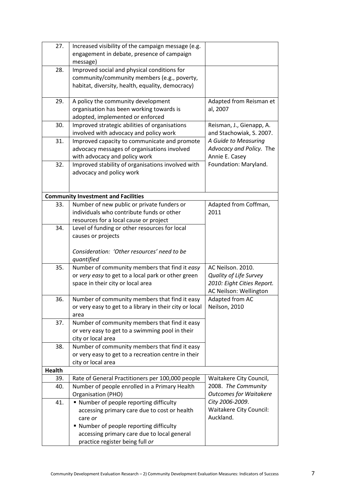| 27.           | Increased visibility of the campaign message (e.g.                                              |                               |
|---------------|-------------------------------------------------------------------------------------------------|-------------------------------|
|               | engagement in debate, presence of campaign                                                      |                               |
|               | message)                                                                                        |                               |
| 28.           | Improved social and physical conditions for                                                     |                               |
|               | community/community members (e.g., poverty,<br>habitat, diversity, health, equality, democracy) |                               |
|               |                                                                                                 |                               |
| 29.           | A policy the community development                                                              | Adapted from Reisman et       |
|               | organisation has been working towards is                                                        | al, 2007                      |
|               | adopted, implemented or enforced                                                                |                               |
| 30.           | Improved strategic abilities of organisations                                                   | Reisman, J., Gienapp, A.      |
|               | involved with advocacy and policy work                                                          | and Stachowiak, S. 2007.      |
| 31.           | Improved capacity to communicate and promote                                                    | A Guide to Measuring          |
|               | advocacy messages of organisations involved                                                     | Advocacy and Policy. The      |
|               | with advocacy and policy work                                                                   | Annie E. Casey                |
| 32.           | Improved stability of organisations involved with                                               | Foundation: Maryland.         |
|               | advocacy and policy work                                                                        |                               |
|               |                                                                                                 |                               |
|               | <b>Community Investment and Facilities</b>                                                      |                               |
| 33.           | Number of new public or private funders or                                                      | Adapted from Coffman,         |
|               | individuals who contribute funds or other                                                       | 2011                          |
|               | resources for a local cause or project                                                          |                               |
| 34.           | Level of funding or other resources for local                                                   |                               |
|               | causes or projects                                                                              |                               |
|               |                                                                                                 |                               |
|               | Consideration: 'Other resources' need to be<br>quantified                                       |                               |
| 35.           | Number of community members that find it easy                                                   | AC Neilson. 2010.             |
|               | or very easy to get to a local park or other green                                              | <b>Quality of Life Survey</b> |
|               | space in their city or local area                                                               | 2010: Eight Cities Report.    |
|               |                                                                                                 | AC Neilson: Wellington        |
| 36.           | Number of community members that find it easy                                                   | Adapted from AC               |
|               | or very easy to get to a library in their city or local                                         | Neilson, 2010                 |
|               | area                                                                                            |                               |
| 37.           | Number of community members that find it easy                                                   |                               |
|               | or very easy to get to a swimming pool in their                                                 |                               |
|               | city or local area                                                                              |                               |
| 38.           | Number of community members that find it easy                                                   |                               |
|               | or very easy to get to a recreation centre in their                                             |                               |
| <b>Health</b> | city or local area                                                                              |                               |
| 39.           | Rate of General Practitioners per 100,000 people                                                | Waitakere City Council,       |
| 40.           | Number of people enrolled in a Primary Health                                                   | 2008. The Community           |
|               | Organisation (PHO)                                                                              | <b>Outcomes for Waitakere</b> |
| 41.           | " Number of people reporting difficulty                                                         | City 2006-2009.               |
|               | accessing primary care due to cost or health                                                    | Waitakere City Council:       |
|               | care or                                                                                         | Auckland.                     |
|               | ■ Number of people reporting difficulty                                                         |                               |
|               | accessing primary care due to local general                                                     |                               |
|               | practice register being full or                                                                 |                               |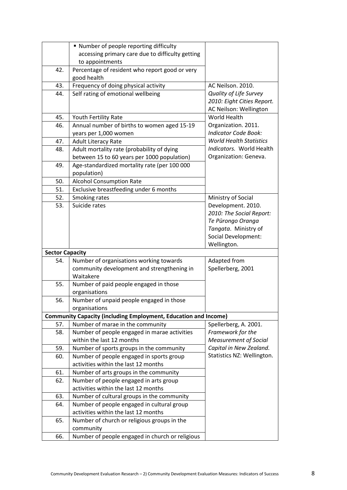|                        | " Number of people reporting difficulty                                |                                |
|------------------------|------------------------------------------------------------------------|--------------------------------|
|                        |                                                                        |                                |
|                        | accessing primary care due to difficulty getting                       |                                |
|                        | to appointments                                                        |                                |
| 42.                    | Percentage of resident who report good or very                         |                                |
|                        | good health                                                            |                                |
| 43.                    | Frequency of doing physical activity                                   | AC Neilson. 2010.              |
| 44.                    | Self rating of emotional wellbeing                                     | <b>Quality of Life Survey</b>  |
|                        |                                                                        | 2010: Eight Cities Report.     |
|                        |                                                                        | AC Neilson: Wellington         |
| 45.                    | Youth Fertility Rate                                                   | World Health                   |
| 46.                    | Annual number of births to women aged 15-19                            | Organization. 2011.            |
|                        | years per 1,000 women                                                  | <b>Indicator Code Book:</b>    |
| 47.                    | <b>Adult Literacy Rate</b>                                             | <b>World Health Statistics</b> |
| 48.                    | Adult mortality rate (probability of dying                             | Indicators. World Health       |
|                        | between 15 to 60 years per 1000 population)                            | Organization: Geneva.          |
| 49.                    | Age-standardized mortality rate (per 100 000                           |                                |
|                        | population)                                                            |                                |
| 50.                    | <b>Alcohol Consumption Rate</b>                                        |                                |
| 51.                    | Exclusive breastfeeding under 6 months                                 |                                |
| 52.                    | Smoking rates                                                          | Ministry of Social             |
| 53.                    | Suicide rates                                                          | Development. 2010.             |
|                        |                                                                        | 2010: The Social Report:       |
|                        |                                                                        | Te Pūrongo Oranga              |
|                        |                                                                        | Tangata. Ministry of           |
|                        |                                                                        | Social Development:            |
|                        |                                                                        | Wellington.                    |
|                        |                                                                        |                                |
|                        |                                                                        |                                |
| <b>Sector Capacity</b> |                                                                        |                                |
| 54.                    | Number of organisations working towards                                | Adapted from                   |
|                        | community development and strengthening in                             | Spellerberg, 2001              |
|                        | Waitakere                                                              |                                |
| 55.                    | Number of paid people engaged in those                                 |                                |
|                        | organisations                                                          |                                |
| 56.                    | Number of unpaid people engaged in those                               |                                |
|                        | organisations                                                          |                                |
|                        | <b>Community Capacity (including Employment, Education and Income)</b> |                                |
| 57.                    | Number of marae in the community                                       | Spellerberg, A. 2001.          |
| 58.                    | Number of people engaged in marae activities                           | Framework for the              |
|                        | within the last 12 months                                              | <b>Measurement of Social</b>   |
| 59.                    | Number of sports groups in the community                               | Capital in New Zealand.        |
| 60.                    | Number of people engaged in sports group                               | Statistics NZ: Wellington.     |
|                        | activities within the last 12 months                                   |                                |
| 61.                    | Number of arts groups in the community                                 |                                |
| 62.                    | Number of people engaged in arts group                                 |                                |
|                        | activities within the last 12 months                                   |                                |
| 63.                    | Number of cultural groups in the community                             |                                |
| 64.                    | Number of people engaged in cultural group                             |                                |
|                        | activities within the last 12 months                                   |                                |
| 65.                    | Number of church or religious groups in the                            |                                |
|                        | community                                                              |                                |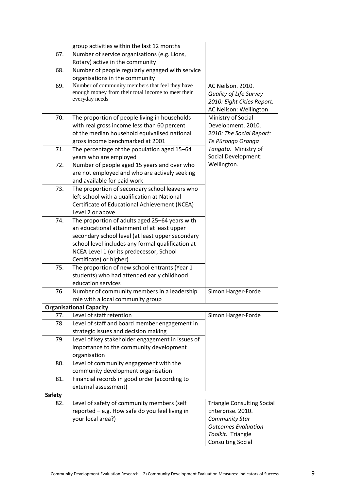|               | group activities within the last 12 months         |                                   |
|---------------|----------------------------------------------------|-----------------------------------|
| 67.           | Number of service organisations (e.g. Lions,       |                                   |
|               | Rotary) active in the community                    |                                   |
| 68.           | Number of people regularly engaged with service    |                                   |
|               | organisations in the community                     |                                   |
| 69.           | Number of community members that feel they have    | AC Neilson. 2010.                 |
|               | enough money from their total income to meet their | <b>Quality of Life Survey</b>     |
|               | everyday needs                                     | 2010: Eight Cities Report.        |
|               |                                                    | AC Neilson: Wellington            |
| 70.           | The proportion of people living in households      | Ministry of Social                |
|               | with real gross income less than 60 percent        | Development. 2010.                |
|               | of the median household equivalised national       | 2010: The Social Report:          |
|               | gross income benchmarked at 2001                   | Te Pūrongo Oranga                 |
| 71.           | The percentage of the population aged 15-64        | Tangata. Ministry of              |
|               | years who are employed                             | <b>Social Development:</b>        |
| 72.           | Number of people aged 15 years and over who        | Wellington.                       |
|               | are not employed and who are actively seeking      |                                   |
|               | and available for paid work                        |                                   |
| 73.           | The proportion of secondary school leavers who     |                                   |
|               | left school with a qualification at National       |                                   |
|               | Certificate of Educational Achievement (NCEA)      |                                   |
|               | Level 2 or above                                   |                                   |
| 74.           | The proportion of adults aged 25-64 years with     |                                   |
|               | an educational attainment of at least upper        |                                   |
|               | secondary school level (at least upper secondary   |                                   |
|               | school level includes any formal qualification at  |                                   |
|               | NCEA Level 1 (or its predecessor, School           |                                   |
|               | Certificate) or higher)                            |                                   |
| 75.           | The proportion of new school entrants (Year 1      |                                   |
|               | students) who had attended early childhood         |                                   |
|               | education services                                 |                                   |
| 76.           | Number of community members in a leadership        | Simon Harger-Forde                |
|               | role with a local community group                  |                                   |
|               | <b>Organisational Capacity</b>                     |                                   |
| 77.           | Level of staff retention                           | Simon Harger-Forde                |
| 78.           | Level of staff and board member engagement in      |                                   |
|               | strategic issues and decision making               |                                   |
| 79.           | Level of key stakeholder engagement in issues of   |                                   |
|               | importance to the community development            |                                   |
|               | organisation                                       |                                   |
| 80.           | Level of community engagement with the             |                                   |
|               | community development organisation                 |                                   |
| 81.           | Financial records in good order (according to      |                                   |
|               | external assessment)                               |                                   |
| <b>Safety</b> |                                                    |                                   |
| 82.           | Level of safety of community members (self         | <b>Triangle Consulting Social</b> |
|               | reported - e.g. How safe do you feel living in     | Enterprise. 2010.                 |
|               | your local area?)                                  | <b>Community Star</b>             |
|               |                                                    | <b>Outcomes Evaluation</b>        |
|               |                                                    | Toolkit. Triangle                 |
|               |                                                    | <b>Consulting Social</b>          |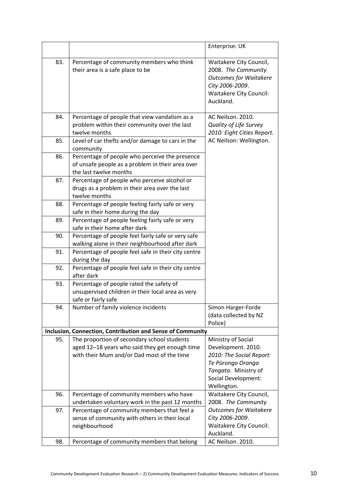|     |                                                                                                                                             | Enterprise: UK                                                                                                                                                 |
|-----|---------------------------------------------------------------------------------------------------------------------------------------------|----------------------------------------------------------------------------------------------------------------------------------------------------------------|
| 83. | Percentage of community members who think<br>their area is a safe place to be                                                               | Waitakere City Council,<br>2008. The Community<br><b>Outcomes for Waitakere</b><br>City 2006-2009.<br><b>Waitakere City Council:</b><br>Auckland.              |
| 84. | Percentage of people that view vandalism as a<br>problem within their community over the last<br>twelve months                              | AC Neilson. 2010.<br><b>Quality of Life Survey</b><br>2010: Eight Cities Report.                                                                               |
| 85. | Level of car thefts and/or damage to cars in the<br>community                                                                               | AC Neilson: Wellington.                                                                                                                                        |
| 86. | Percentage of people who perceive the presence<br>of unsafe people as a problem in their area over<br>the last twelve months                |                                                                                                                                                                |
| 87. | Percentage of people who perceive alcohol or<br>drugs as a problem in their area over the last<br>twelve months                             |                                                                                                                                                                |
| 88. | Percentage of people feeling fairly safe or very<br>safe in their home during the day                                                       |                                                                                                                                                                |
| 89. | Percentage of people feeling fairly safe or very<br>safe in their home after dark                                                           |                                                                                                                                                                |
| 90. | Percentage of people feel fairly safe or very safe<br>walking alone in their neighbourhood after dark                                       |                                                                                                                                                                |
| 91. | Percentage of people feel safe in their city centre<br>during the day                                                                       |                                                                                                                                                                |
| 92. | Percentage of people feel safe in their city centre<br>after dark                                                                           |                                                                                                                                                                |
| 93. | Percentage of people rated the safety of<br>unsupervised children in their local area as very<br>safe or fairly safe                        |                                                                                                                                                                |
| 94. | Number of family violence incidents                                                                                                         | Simon Harger-Forde<br>(data collected by NZ<br>Police)                                                                                                         |
|     | <b>Inclusion, Connection, Contribution and Sense of Community</b>                                                                           |                                                                                                                                                                |
| 95. | The proportion of secondary school students<br>aged 12-18 years who said they get enough time<br>with their Mum and/or Dad most of the time | Ministry of Social<br>Development. 2010.<br>2010: The Social Report:<br>Te Pūrongo Oranga<br>Tangata. Ministry of<br><b>Social Development:</b><br>Wellington. |
| 96. | Percentage of community members who have<br>undertaken voluntary work in the past 12 months                                                 | Waitakere City Council,<br>2008. The Community                                                                                                                 |
| 97. | Percentage of community members that feel a<br>sense of community with others in their local<br>neighbourhood                               | <b>Outcomes for Waitakere</b><br>City 2006-2009.<br><b>Waitakere City Council:</b><br>Auckland.                                                                |
| 98. | Percentage of community members that belong                                                                                                 | AC Neilson. 2010.                                                                                                                                              |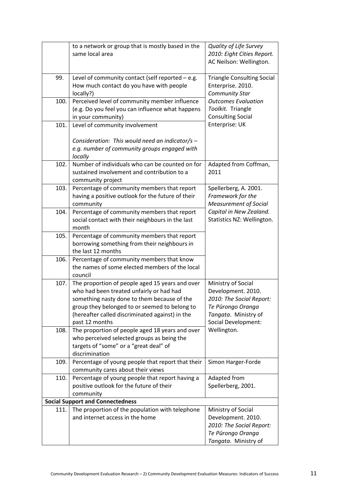|      | to a network or group that is mostly based in the<br>same local area                                                                                                                                                                                             | Quality of Life Survey<br>2010: Eight Cities Report.<br>AC Neilson: Wellington.                                                          |
|------|------------------------------------------------------------------------------------------------------------------------------------------------------------------------------------------------------------------------------------------------------------------|------------------------------------------------------------------------------------------------------------------------------------------|
| 99.  | Level of community contact (self reported - e.g.<br>How much contact do you have with people<br>locally?)                                                                                                                                                        | <b>Triangle Consulting Social</b><br>Enterprise. 2010.<br><b>Community Star</b>                                                          |
| 100. | Perceived level of community member influence<br>(e.g. Do you feel you can influence what happens<br>in your community)                                                                                                                                          | <b>Outcomes Evaluation</b><br>Toolkit. Triangle<br><b>Consulting Social</b>                                                              |
| 101. | Level of community involvement                                                                                                                                                                                                                                   | Enterprise: UK                                                                                                                           |
|      | Consideration: This would need an indicator/s -<br>e.g. number of community groups engaged with<br>locally                                                                                                                                                       |                                                                                                                                          |
| 102. | Number of individuals who can be counted on for<br>sustained involvement and contribution to a<br>community project                                                                                                                                              | Adapted from Coffman,<br>2011                                                                                                            |
| 103. | Percentage of community members that report<br>having a positive outlook for the future of their<br>community                                                                                                                                                    | Spellerberg, A. 2001.<br>Framework for the<br><b>Measurement of Social</b>                                                               |
| 104. | Percentage of community members that report<br>social contact with their neighbours in the last<br>month                                                                                                                                                         | Capital in New Zealand.<br>Statistics NZ: Wellington.                                                                                    |
| 105. | Percentage of community members that report<br>borrowing something from their neighbours in<br>the last 12 months                                                                                                                                                |                                                                                                                                          |
| 106. | Percentage of community members that know<br>the names of some elected members of the local<br>council                                                                                                                                                           |                                                                                                                                          |
| 107. | The proportion of people aged 15 years and over<br>who had been treated unfairly or had had<br>something nasty done to them because of the<br>group they belonged to or seemed to belong to<br>(hereafter called discriminated against) in the<br>past 12 months | Ministry of Social<br>Development. 2010.<br>2010: The Social Report:<br>Te Pūrongo Oranga<br>Tangata. Ministry of<br>Social Development: |
| 108. | The proportion of people aged 18 years and over<br>who perceived selected groups as being the<br>targets of "some" or a "great deal" of<br>discrimination                                                                                                        | Wellington.                                                                                                                              |
| 109. | Percentage of young people that report that their<br>community cares about their views                                                                                                                                                                           | Simon Harger-Forde                                                                                                                       |
| 110. | Percentage of young people that report having a<br>positive outlook for the future of their<br>community                                                                                                                                                         | Adapted from<br>Spellerberg, 2001.                                                                                                       |
|      | <b>Social Support and Connectedness</b>                                                                                                                                                                                                                          |                                                                                                                                          |
| 111. | The proportion of the population with telephone                                                                                                                                                                                                                  | Ministry of Social                                                                                                                       |
|      | and internet access in the home                                                                                                                                                                                                                                  | Development. 2010.<br>2010: The Social Report:<br>Te Pūrongo Oranga                                                                      |
|      |                                                                                                                                                                                                                                                                  | Tangata. Ministry of                                                                                                                     |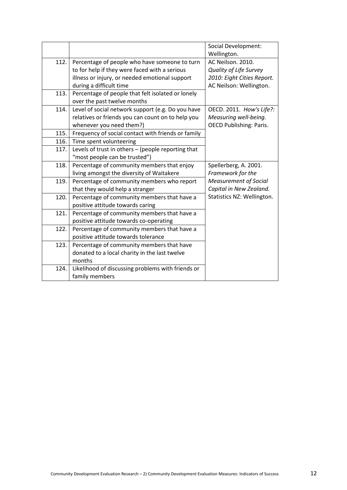|      |                                                                                  | <b>Social Development:</b><br>Wellington. |
|------|----------------------------------------------------------------------------------|-------------------------------------------|
| 112. | Percentage of people who have someone to turn                                    | AC Neilson. 2010.                         |
|      | to for help if they were faced with a serious                                    | <b>Quality of Life Survey</b>             |
|      | illness or injury, or needed emotional support                                   | 2010: Eight Cities Report.                |
|      | during a difficult time                                                          | AC Neilson: Wellington.                   |
| 113. |                                                                                  |                                           |
|      | Percentage of people that felt isolated or lonely<br>over the past twelve months |                                           |
|      |                                                                                  |                                           |
| 114. | Level of social network support (e.g. Do you have                                | OECD. 2011. How's Life?:                  |
|      | relatives or friends you can count on to help you                                | Measuring well-being.                     |
|      | whenever you need them?)                                                         | <b>OECD Publishing: Paris.</b>            |
| 115. | Frequency of social contact with friends or family                               |                                           |
| 116. | Time spent volunteering                                                          |                                           |
| 117. | Levels of trust in others - (people reporting that                               |                                           |
|      | "most people can be trusted")                                                    |                                           |
| 118. | Percentage of community members that enjoy                                       | Spellerberg, A. 2001.                     |
|      | living amongst the diversity of Waitakere                                        | Framework for the                         |
| 119. | Percentage of community members who report                                       | Measurement of Social                     |
|      | that they would help a stranger                                                  | Capital in New Zealand.                   |
| 120. | Percentage of community members that have a                                      | Statistics NZ: Wellington.                |
|      | positive attitude towards caring                                                 |                                           |
| 121. | Percentage of community members that have a                                      |                                           |
|      | positive attitude towards co-operating                                           |                                           |
| 122. | Percentage of community members that have a                                      |                                           |
|      | positive attitude towards tolerance                                              |                                           |
| 123. | Percentage of community members that have                                        |                                           |
|      | donated to a local charity in the last twelve                                    |                                           |
|      | months                                                                           |                                           |
| 124. | Likelihood of discussing problems with friends or                                |                                           |
|      | family members                                                                   |                                           |